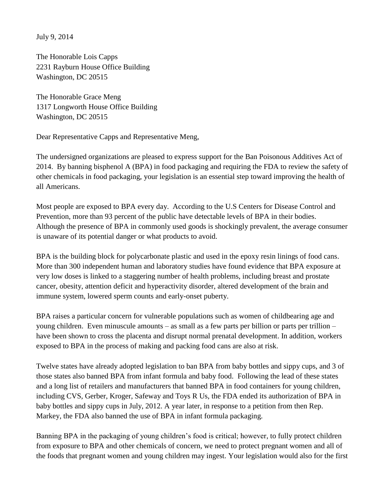July 9, 2014

The Honorable Lois Capps 2231 Rayburn House Office Building Washington, DC 20515

The Honorable Grace Meng 1317 Longworth House Office Building Washington, DC 20515

Dear Representative Capps and Representative Meng,

The undersigned organizations are pleased to express support for the Ban Poisonous Additives Act of 2014. By banning bisphenol A (BPA) in food packaging and requiring the FDA to review the safety of other chemicals in food packaging, your legislation is an essential step toward improving the health of all Americans.

Most people are exposed to BPA every day. According to the U.S Centers for Disease Control and Prevention, more than 93 percent of the public have detectable levels of BPA in their bodies. Although the presence of BPA in commonly used goods is shockingly prevalent, the average consumer is unaware of its potential danger or what products to avoid.

BPA is the building block for polycarbonate plastic and used in the epoxy resin linings of food cans. More than 300 independent human and laboratory studies have found evidence that BPA exposure at very low doses is linked to a staggering number of health problems, including breast and prostate cancer, obesity, attention deficit and hyperactivity disorder, altered development of the brain and immune system, lowered sperm counts and early-onset puberty.

BPA raises a particular concern for vulnerable populations such as women of childbearing age and young children. Even minuscule amounts – as small as a few parts per billion or parts per trillion – have been shown to cross the placenta and disrupt normal prenatal development. In addition, workers exposed to BPA in the process of making and packing food cans are also at risk.

Twelve states have already adopted legislation to ban BPA from baby bottles and sippy cups, and 3 of those states also banned BPA from infant formula and baby food. Following the lead of these states and a long list of retailers and manufacturers that banned BPA in food containers for young children, including CVS, Gerber, Kroger, Safeway and Toys R Us, the FDA ended its authorization of BPA in baby bottles and sippy cups in July, 2012. A year later, in response to a petition from then Rep. Markey, the FDA also banned the use of BPA in infant formula packaging.

Banning BPA in the packaging of young children's food is critical; however, to fully protect children from exposure to BPA and other chemicals of concern, we need to protect pregnant women and all of the foods that pregnant women and young children may ingest. Your legislation would also for the first